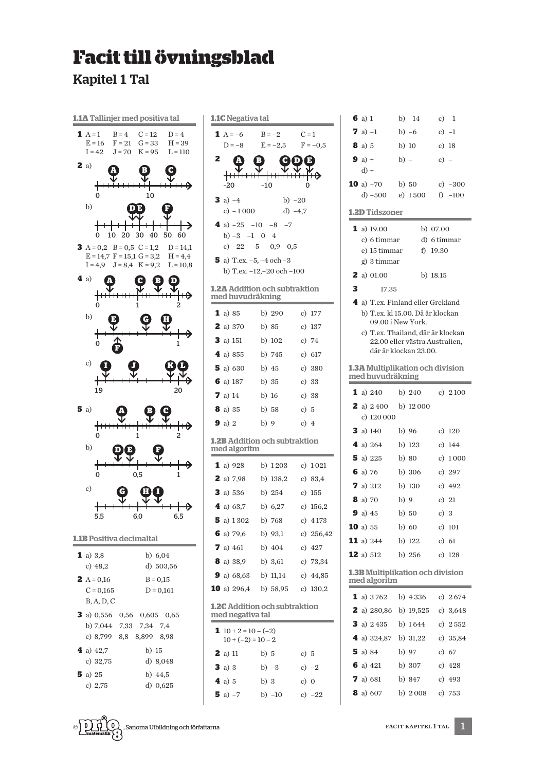## **Facit till övningsblad**

**Kapitel 1 Tal** 



| <b>I.1C</b> Negativa tal                                 |                                              |                                            |             |  |  |
|----------------------------------------------------------|----------------------------------------------|--------------------------------------------|-------------|--|--|
|                                                          | <b>1</b> $A = -6$                            | $B = -2$                                   | $C = 1$     |  |  |
|                                                          | $D = -8$                                     | $E = -2.5$                                 | $F = -0.5$  |  |  |
| 2                                                        |                                              | a<br>в<br>D                                | Þ           |  |  |
|                                                          |                                              | <del>: ::::</del>                          |             |  |  |
|                                                          | $-20$                                        | $-10$                                      | 0           |  |  |
|                                                          | 3 a) $-4$                                    | b) $-20$                                   |             |  |  |
|                                                          | c) $-1000$<br>4 a) $-25 -10 -8 -7$           | d) $-4,7$                                  |             |  |  |
|                                                          | b) $-3$ $-1$ 0 4                             |                                            |             |  |  |
|                                                          |                                              | c) $-22 -5 -0.9$ 0.5                       |             |  |  |
|                                                          | <b>5</b> a) T.ex. $-5$ , $-4$ och $-3$       |                                            |             |  |  |
|                                                          |                                              | b) T.ex. -12,-20 och -100                  |             |  |  |
|                                                          | med huvudräkning                             | <b>I.2A Addition och subtraktion</b>       |             |  |  |
|                                                          |                                              |                                            |             |  |  |
|                                                          | 1 a) 85                                      | b) 290                                     | c) 177      |  |  |
|                                                          | <b>2</b> a) 370                              | b) 85                                      | c) $137$    |  |  |
|                                                          | <b>3</b> a) 151                              | b) 102                                     | c) $74$     |  |  |
|                                                          | 4 a) $855$ b) $745$                          |                                            | c) 617      |  |  |
|                                                          | <b>5</b> a) 630                              | b) 45                                      | c) 380      |  |  |
|                                                          | <b>6</b> a) 187                              | b) 35                                      | c) 33       |  |  |
|                                                          | 7a)14                                        | b) 16                                      | c) $38$     |  |  |
|                                                          | <b>8</b> a) 35                               | b) 58                                      | c) $5$      |  |  |
|                                                          | 9a)2                                         | b) 9                                       | c) $4$      |  |  |
|                                                          | med algoritm                                 | <b>I.2B Addition och subtraktion</b>       |             |  |  |
|                                                          | 1 a) 928                                     | b) $1203$                                  | c) 1021     |  |  |
|                                                          | 2 a) 7,98                                    | b) 138,2                                   | c) $83.4$   |  |  |
|                                                          | <b>3</b> a) $536$ b) $254$                   |                                            | c) 155      |  |  |
|                                                          | 4 a) $63,7$ b) $6,27$                        |                                            | c) $156,2$  |  |  |
|                                                          | <b>5</b> a) 1302 b) 768                      |                                            | c) $4173$   |  |  |
|                                                          | 6 a) 79,6                                    | b) 93,1                                    | c) $256,42$ |  |  |
|                                                          |                                              | <b>7</b> a) 461 b) 404 c) 427              |             |  |  |
|                                                          |                                              | <b>8</b> a) 38,9 b) 3,61                   | c) $73,34$  |  |  |
|                                                          |                                              | <b>9</b> a) $68,63$ b) 11,14 c) $44,85$    |             |  |  |
|                                                          |                                              | <b>10</b> a) $296,4$ b) $58,95$ c) $130,2$ |             |  |  |
| <b>I.2C</b> Addition och subtraktion<br>med negativa tal |                                              |                                            |             |  |  |
| 1                                                        | $10 + 2 = 10 - (-2)$<br>$10 + (-2) = 10 - 2$ |                                            |             |  |  |
|                                                          | 2 a) 11                                      | b) 5                                       | c) $5$      |  |  |
|                                                          | 3a)3                                         | b) $-3$                                    | c) $-2$     |  |  |
|                                                          | 4a)5                                         | b) $3$                                     | c) $0$      |  |  |
|                                                          | <b>5</b> a) $-7$                             | b) $-10$ c) $-22$                          |             |  |  |
|                                                          |                                              |                                            |             |  |  |

| 6                                                                                    | $a)$ 1           |                                                         |         | b) -14     |             | c) $-1$   |
|--------------------------------------------------------------------------------------|------------------|---------------------------------------------------------|---------|------------|-------------|-----------|
|                                                                                      | <b>7</b> a) $-1$ |                                                         |         | b) $-6$    |             | c) $-1$   |
|                                                                                      | <b>8</b> a) 5    |                                                         | $b)$ 10 |            |             | c) $18$   |
|                                                                                      | <b>9</b> a) $+$  |                                                         | $b) -$  |            | $c) -$      |           |
|                                                                                      | $d) +$           |                                                         |         |            |             |           |
|                                                                                      |                  | <b>10</b> a) $-70$                                      |         | b) 50      |             | c) $-300$ |
|                                                                                      |                  | d) -500                                                 |         | e) 1500    |             | f) $-100$ |
|                                                                                      |                  | <b>1.2D</b> Tidszoner                                   |         |            |             |           |
|                                                                                      |                  | 1 a) 19.00                                              |         |            | b) $07.00$  |           |
|                                                                                      |                  | c) 6 timmar                                             |         |            | d) 6 timmar |           |
|                                                                                      |                  | e) 15 timmar                                            |         |            | f) 19.30    |           |
|                                                                                      |                  | g) 3 timmar                                             |         |            |             |           |
|                                                                                      |                  | <b>2</b> a) 01.00                                       |         |            | b) 18.15    |           |
| 3                                                                                    |                  | 17.35                                                   |         |            |             |           |
|                                                                                      |                  | 4 a) T.ex. Finland eller Grekland                       |         |            |             |           |
|                                                                                      |                  | b) T.ex. kl 15.00. Då är klockan<br>09.00 i New York.   |         |            |             |           |
|                                                                                      |                  | c) T.ex. Thailand, där är klockan                       |         |            |             |           |
|                                                                                      |                  | 22.00 eller västra Australien,<br>där är klockan 23.00. |         |            |             |           |
|                                                                                      |                  |                                                         |         |            |             |           |
|                                                                                      |                  | 1.3A Multiplikation och division<br>med huvudräkning    |         |            |             |           |
|                                                                                      |                  | <b>1</b> a) 240                                         |         | b) 240     |             | c) $2100$ |
|                                                                                      |                  | <b>2</b> a) $2\,400$                                    |         | b) $12000$ |             |           |
|                                                                                      |                  | c) 120 000                                              |         |            |             |           |
|                                                                                      |                  | 3 a) 140                                                |         | b) 96      |             | c) $120$  |
|                                                                                      |                  | 4 a) 264                                                |         | b) 123     |             | c) $144$  |
|                                                                                      |                  | 5 a) 225                                                |         | b) 80      |             | c) $1000$ |
|                                                                                      |                  | 6 a) 76                                                 |         | b) $306$   |             | c) $297$  |
|                                                                                      |                  | <b>7</b> a) 212                                         |         | b) 130     |             | c) $492$  |
|                                                                                      |                  | 8 a) 70                                                 | b)9     |            |             | c) $21$   |
|                                                                                      |                  | 9a)45                                                   |         | b) $50$    | c) $3$      |           |
|                                                                                      |                  | <b>10</b> a) $55$                                       |         | b) 60      |             | c) 101    |
|                                                                                      |                  | <b>11</b> a) 244 b) 122 c) 61                           |         |            |             |           |
|                                                                                      |                  | <b>12</b> a) 512 b) 256 c) 128                          |         |            |             |           |
| 1.3B Multiplikation och division<br>med algoritm<br><b>The Common Section Common</b> |                  |                                                         |         |            |             |           |
|                                                                                      |                  | 1 a) 3762 b) 4336 c) 2674                               |         |            |             |           |
|                                                                                      |                  | <b>2</b> a) 280,86 b) 19,525 c) 3,648                   |         |            |             |           |
|                                                                                      |                  | <b>3</b> a) $2\,435$ b) $1\,644$ c) $2\,552$            |         |            |             |           |
|                                                                                      |                  | 4 a) 324,87 b) 31,22 c) 35,84                           |         |            |             |           |
|                                                                                      |                  | <b>5</b> a) 84 b) 97                                    |         |            | c) 67       |           |
|                                                                                      |                  | <b>6</b> a) 421 b) 307 c) 428                           |         |            |             |           |
|                                                                                      |                  | <b>7</b> a) 681                                         |         | b) 847     |             | c) 493    |
|                                                                                      |                  | <b>8</b> a) 607                                         |         | b) $2008$  |             | c) 753    |
|                                                                                      |                  |                                                         |         |            |             |           |

 $\mathbf 1$